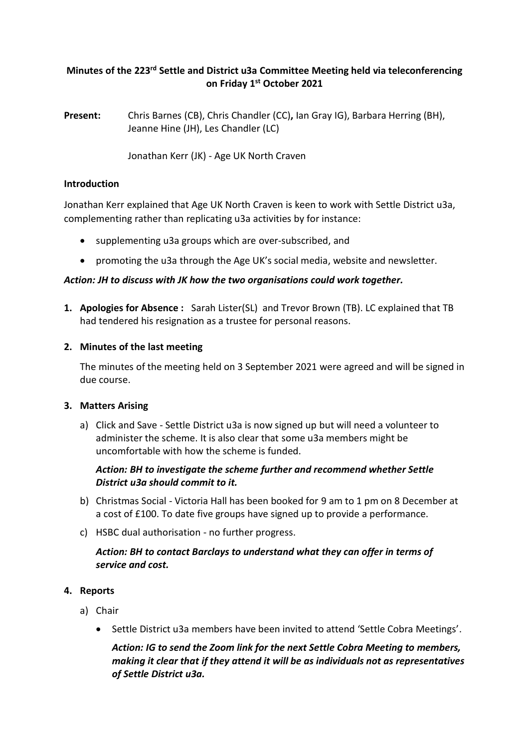# **Minutes of the 223rd Settle and District u3a Committee Meeting held via teleconferencing on Friday 1 st October 2021**

**Present:** Chris Barnes (CB), Chris Chandler (CC)**,** Ian Gray IG), Barbara Herring (BH), Jeanne Hine (JH), Les Chandler (LC)

Jonathan Kerr (JK) - Age UK North Craven

### **Introduction**

Jonathan Kerr explained that Age UK North Craven is keen to work with Settle District u3a, complementing rather than replicating u3a activities by for instance:

- supplementing u3a groups which are over-subscribed, and
- promoting the u3a through the Age UK's social media, website and newsletter.

### *Action: JH to discuss with JK how the two organisations could work together.*

**1. Apologies for Absence :** Sarah Lister(SL) and Trevor Brown (TB). LC explained that TB had tendered his resignation as a trustee for personal reasons.

### **2. Minutes of the last meeting**

The minutes of the meeting held on 3 September 2021 were agreed and will be signed in due course.

### **3. Matters Arising**

a) Click and Save - Settle District u3a is now signed up but will need a volunteer to administer the scheme. It is also clear that some u3a members might be uncomfortable with how the scheme is funded.

# *Action: BH to investigate the scheme further and recommend whether Settle District u3a should commit to it.*

- b) Christmas Social Victoria Hall has been booked for 9 am to 1 pm on 8 December at a cost of £100. To date five groups have signed up to provide a performance.
- c) HSBC dual authorisation no further progress.

## *Action: BH to contact Barclays to understand what they can offer in terms of service and cost.*

### **4. Reports**

- a) Chair
	- Settle District u3a members have been invited to attend 'Settle Cobra Meetings'.

*Action: IG to send the Zoom link for the next Settle Cobra Meeting to members, making it clear that if they attend it will be as individuals not as representatives of Settle District u3a.*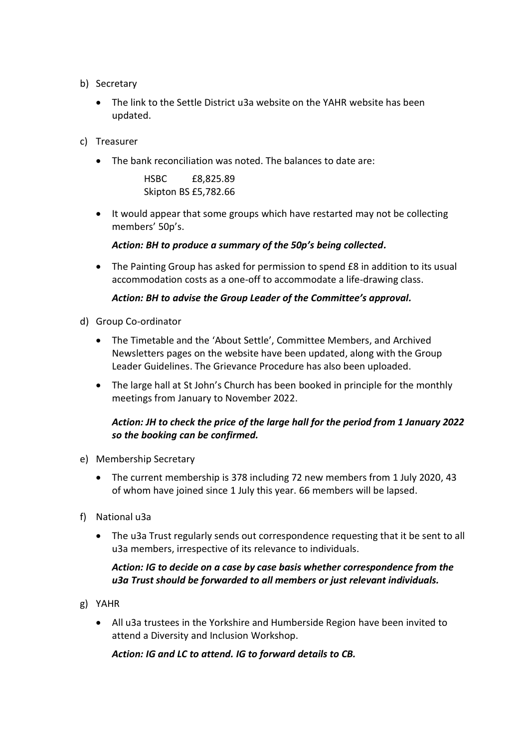- b) Secretary
	- The link to the Settle District u3a website on the YAHR website has been updated.
- c) Treasurer
	- The bank reconciliation was noted. The balances to date are:

HSBC £8,825.89 Skipton BS £5,782.66

• It would appear that some groups which have restarted may not be collecting members' 50p's.

*Action: BH to produce a summary of the 50p's being collected.*

• The Painting Group has asked for permission to spend £8 in addition to its usual accommodation costs as a one-off to accommodate a life-drawing class.

### *Action: BH to advise the Group Leader of the Committee's approval.*

- d) Group Co-ordinator
	- The Timetable and the 'About Settle', Committee Members, and Archived Newsletters pages on the website have been updated, along with the Group Leader Guidelines. The Grievance Procedure has also been uploaded.
	- The large hall at St John's Church has been booked in principle for the monthly meetings from January to November 2022.

### *Action: JH to check the price of the large hall for the period from 1 January 2022 so the booking can be confirmed.*

- e) Membership Secretary
	- The current membership is 378 including 72 new members from 1 July 2020, 43 of whom have joined since 1 July this year. 66 members will be lapsed.
- f) National u3a
	- The u3a Trust regularly sends out correspondence requesting that it be sent to all u3a members, irrespective of its relevance to individuals.

### *Action: IG to decide on a case by case basis whether correspondence from the u3a Trust should be forwarded to all members or just relevant individuals.*

- g) YAHR
	- All u3a trustees in the Yorkshire and Humberside Region have been invited to attend a Diversity and Inclusion Workshop.

*Action: IG and LC to attend. IG to forward details to CB.*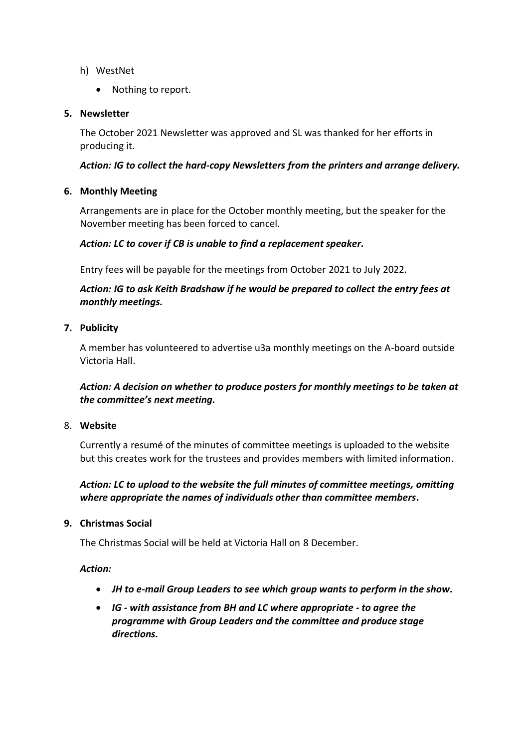- h) WestNet
	- Nothing to report.

### **5. Newsletter**

The October 2021 Newsletter was approved and SL was thanked for her efforts in producing it.

### *Action: IG to collect the hard-copy Newsletters from the printers and arrange delivery.*

### **6. Monthly Meeting**

Arrangements are in place for the October monthly meeting, but the speaker for the November meeting has been forced to cancel.

### *Action: LC to cover if CB is unable to find a replacement speaker.*

Entry fees will be payable for the meetings from October 2021 to July 2022.

# *Action: IG to ask Keith Bradshaw if he would be prepared to collect the entry fees at monthly meetings.*

### **7. Publicity**

A member has volunteered to advertise u3a monthly meetings on the A-board outside Victoria Hall.

## *Action: A decision on whether to produce posters for monthly meetings to be taken at the committee's next meeting.*

### 8. **Website**

Currently a resumé of the minutes of committee meetings is uploaded to the website but this creates work for the trustees and provides members with limited information.

## *Action: LC to upload to the website the full minutes of committee meetings, omitting where appropriate the names of individuals other than committee members.*

### **9. Christmas Social**

The Christmas Social will be held at Victoria Hall on 8 December.

### *Action:*

- *JH to e-mail Group Leaders to see which group wants to perform in the show.*
- *IG - with assistance from BH and LC where appropriate - to agree the programme with Group Leaders and the committee and produce stage directions.*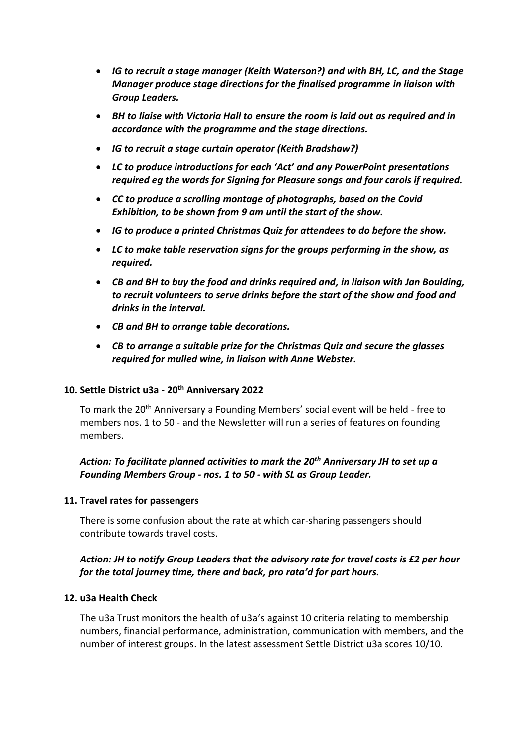- *IG to recruit a stage manager (Keith Waterson?) and with BH, LC, and the Stage Manager produce stage directions for the finalised programme in liaison with Group Leaders.*
- *BH to liaise with Victoria Hall to ensure the room is laid out as required and in accordance with the programme and the stage directions.*
- *IG to recruit a stage curtain operator (Keith Bradshaw?)*
- *LC to produce introductions for each 'Act' and any PowerPoint presentations required eg the words for Signing for Pleasure songs and four carols if required.*
- *CC to produce a scrolling montage of photographs, based on the Covid Exhibition, to be shown from 9 am until the start of the show.*
- *IG to produce a printed Christmas Quiz for attendees to do before the show.*
- *LC to make table reservation signs for the groups performing in the show, as required.*
- *CB and BH to buy the food and drinks required and, in liaison with Jan Boulding, to recruit volunteers to serve drinks before the start of the show and food and drinks in the interval.*
- *CB and BH to arrange table decorations.*
- *CB to arrange a suitable prize for the Christmas Quiz and secure the glasses required for mulled wine, in liaison with Anne Webster.*

### **10. Settle District u3a - 20th Anniversary 2022**

To mark the 20<sup>th</sup> Anniversary a Founding Members' social event will be held - free to members nos. 1 to 50 - and the Newsletter will run a series of features on founding members.

# *Action: To facilitate planned activities to mark the 20th Anniversary JH to set up a Founding Members Group - nos. 1 to 50 - with SL as Group Leader.*

### **11. Travel rates for passengers**

There is some confusion about the rate at which car-sharing passengers should contribute towards travel costs.

## *Action: JH to notify Group Leaders that the advisory rate for travel costs is £2 per hour for the total journey time, there and back, pro rata'd for part hours.*

### **12. u3a Health Check**

The u3a Trust monitors the health of u3a's against 10 criteria relating to membership numbers, financial performance, administration, communication with members, and the number of interest groups. In the latest assessment Settle District u3a scores 10/10.